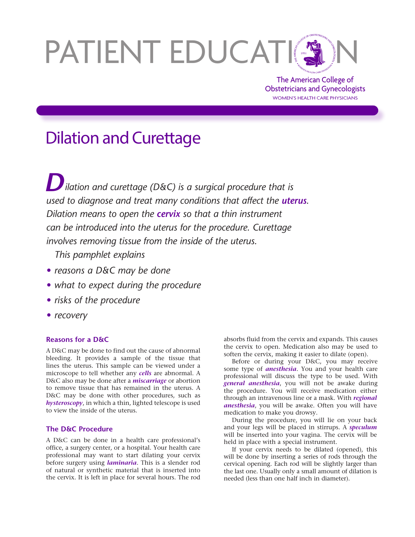# PATIENT EDUCATION

The American College of Obstetricians and Gynecologists WOMEN'S HEALTH CARE PHYSICIANS

# Dilation and Curettage

*Dilation and curettage (D&C) is a surgical procedure that is used to diagnose and treat many conditions that affect the uterus. Dilation means to open the cervix so that a thin instrument can be introduced into the uterus for the procedure. Curettage involves removing tissue from the inside of the uterus.* 

*This pamphlet explains*

- *• reasons a D&C may be done*
- *• what to expect during the procedure*
- *• risks of the procedure*
- *• recovery*

## **Reasons for a D&C**

A D&C may be done to find out the cause of abnormal bleeding. It provides a sample of the tissue that lines the uterus. This sample can be viewed under a microscope to tell whether any *cells* are abnormal. A D&C also may be done after a *miscarriage* or abortion to remove tissue that has remained in the uterus. A D&C may be done with other procedures, such as *hysteroscopy*, in which a thin, lighted telescope is used to view the inside of the uterus.

### **The D&C Procedure**

A D&C can be done in a health care professional's office, a surgery center, or a hospital. Your health care professional may want to start dilating your cervix before surgery using *laminaria*. This is a slender rod of natural or synthetic material that is inserted into the cervix. It is left in place for several hours. The rod absorbs fluid from the cervix and expands. This causes the cervix to open. Medication also may be used to soften the cervix, making it easier to dilate (open).

Before or during your D&C, you may receive some type of *anesthesia*. You and your health care professional will discuss the type to be used. With *general anesthesia*, you will not be awake during the procedure. You will receive medication either through an intravenous line or a mask. With *regional anesthesia*, you will be awake. Often you will have medication to make you drowsy.

During the procedure, you will lie on your back and your legs will be placed in stirrups. A *speculum* will be inserted into your vagina. The cervix will be held in place with a special instrument.

If your cervix needs to be dilated (opened), this will be done by inserting a series of rods through the cervical opening. Each rod will be slightly larger than the last one. Usually only a small amount of dilation is needed (less than one half inch in diameter).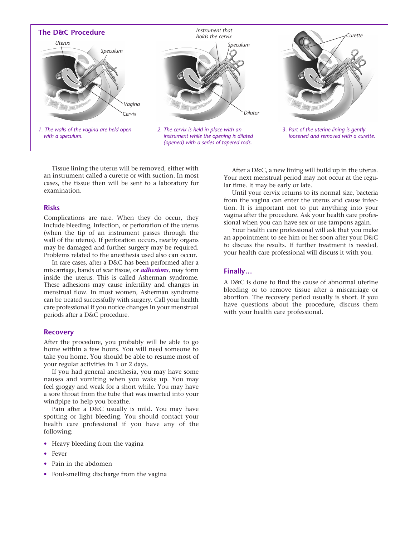

Tissue lining the uterus will be removed, either with an instrument called a curette or with suction. In most cases, the tissue then will be sent to a laboratory for examination.

#### **Risks**

Complications are rare. When they do occur, they include bleeding, infection, or perforation of the uterus (when the tip of an instrument passes through the wall of the uterus). If perforation occurs, nearby organs may be damaged and further surgery may be required. Problems related to the anesthesia used also can occur.

In rare cases, after a D&C has been performed after a miscarriage, bands of scar tissue, or *adhesions*, may form inside the uterus. This is called Asherman syndrome. These adhesions may cause infertility and changes in menstrual flow. In most women, Asherman syndrome can be treated successfully with surgery. Call your health care professional if you notice changes in your menstrual periods after a D&C procedure.

#### **Recovery**

After the procedure, you probably will be able to go home within a few hours. You will need someone to take you home. You should be able to resume most of your regular activities in 1 or 2 days.

If you had general anesthesia, you may have some nausea and vomiting when you wake up. You may feel groggy and weak for a short while. You may have a sore throat from the tube that was inserted into your windpipe to help you breathe.

Pain after a D&C usually is mild. You may have spotting or light bleeding. You should contact your health care professional if you have any of the following:

- Heavy bleeding from the vagina
- Fever
- Pain in the abdomen
- Foul-smelling discharge from the vagina

After a D&C, a new lining will build up in the uterus. Your next menstrual period may not occur at the regular time. It may be early or late.

Until your cervix returns to its normal size, bacteria from the vagina can enter the uterus and cause infection. It is important not to put anything into your vagina after the procedure. Ask your health care professional when you can have sex or use tampons again.

Your health care professional will ask that you make an appointment to see him or her soon after your D&C to discuss the results. If further treatment is needed, your health care professional will discuss it with you.

#### **Finally…**

A D&C is done to find the cause of abnormal uterine bleeding or to remove tissue after a miscarriage or abortion. The recovery period usually is short. If you have questions about the procedure, discuss them with your health care professional.